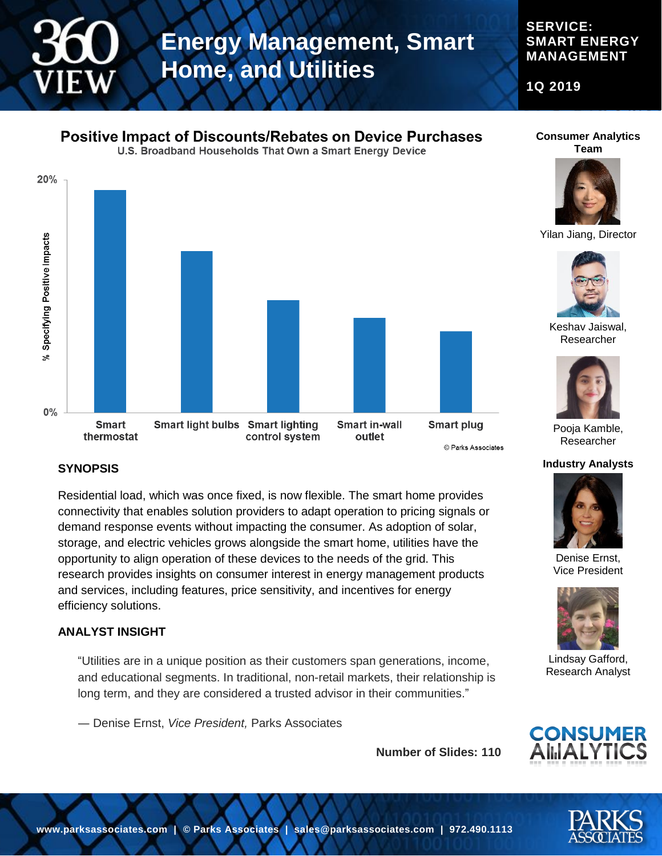**SERVICE: SMART ENERGY MANAGEMENT**

**1Q 2019**

# **Positive Impact of Discounts/Rebates on Device Purchases**

U.S. Broadband Households That Own a Smart Energy Device



#### **Consumer Analytics Team**



Yilan Jiang, Director



Keshav Jaiswal, Researcher



Pooja Kamble, Researcher

#### **Industry Analysts**



Denise Ernst, Vice President



Lindsay Gafford, Research Analyst





### **SYNOPSIS**

Residential load, which was once fixed, is now flexible. The smart home provides connectivity that enables solution providers to adapt operation to pricing signals or demand response events without impacting the consumer. As adoption of solar, storage, and electric vehicles grows alongside the smart home, utilities have the opportunity to align operation of these devices to the needs of the grid. This research provides insights on consumer interest in energy management products and services, including features, price sensitivity, and incentives for energy efficiency solutions.

### **ANALYST INSIGHT**

"Utilities are in a unique position as their customers span generations, income, and educational segments. In traditional, non-retail markets, their relationship is long term, and they are considered a trusted advisor in their communities."

― Denise Ernst, *Vice President,* Parks Associates

**Number of Slides: 110**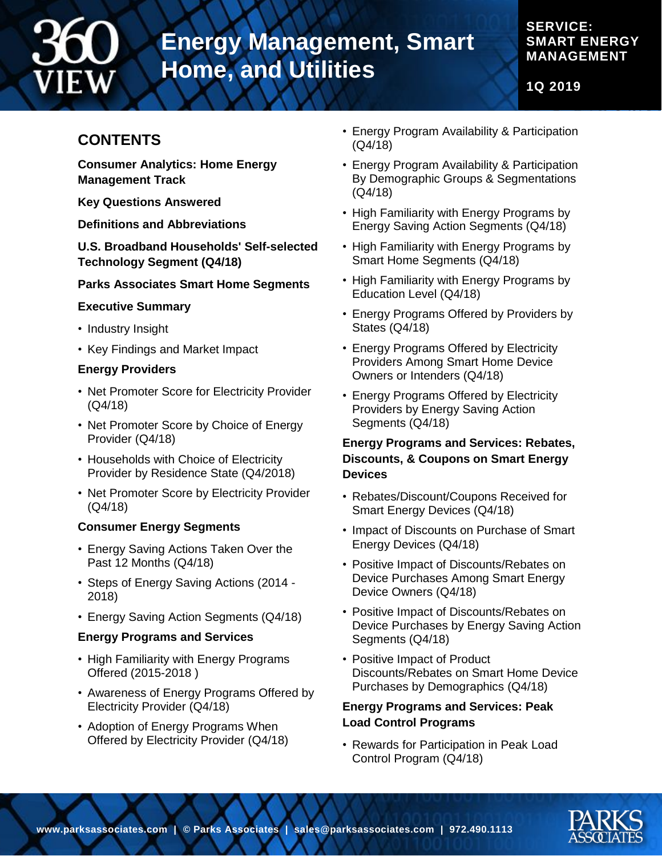

### **SERVICE: SMART ENERGY MANAGEMENT**

**1Q 2019**

# **CONTENTS**

**Consumer Analytics: Home Energy Management Track**

**Key Questions Answered**

**Definitions and Abbreviations**

**U.S. Broadband Households' Self-selected Technology Segment (Q4/18)**

### **Parks Associates Smart Home Segments**

### **Executive Summary**

- Industry Insight
- Key Findings and Market Impact

### **Energy Providers**

- Net Promoter Score for Electricity Provider (Q4/18)
- Net Promoter Score by Choice of Energy Provider (Q4/18)
- Households with Choice of Electricity Provider by Residence State (Q4/2018)
- Net Promoter Score by Electricity Provider (Q4/18)

### **Consumer Energy Segments**

- Energy Saving Actions Taken Over the Past 12 Months (Q4/18)
- Steps of Energy Saving Actions (2014 2018)
- Energy Saving Action Segments (Q4/18)

### **Energy Programs and Services**

- High Familiarity with Energy Programs Offered (2015-2018 )
- Awareness of Energy Programs Offered by Electricity Provider (Q4/18)
- Adoption of Energy Programs When Offered by Electricity Provider (Q4/18)
- Energy Program Availability & Participation (Q4/18)
- Energy Program Availability & Participation By Demographic Groups & Segmentations (Q4/18)
- High Familiarity with Energy Programs by Energy Saving Action Segments (Q4/18)
- High Familiarity with Energy Programs by Smart Home Segments (Q4/18)
- High Familiarity with Energy Programs by Education Level (Q4/18)
- Energy Programs Offered by Providers by States (Q4/18)
- Energy Programs Offered by Electricity Providers Among Smart Home Device Owners or Intenders (Q4/18)
- Energy Programs Offered by Electricity Providers by Energy Saving Action Segments (Q4/18)

### **Energy Programs and Services: Rebates, Discounts, & Coupons on Smart Energy Devices**

- Rebates/Discount/Coupons Received for Smart Energy Devices (Q4/18)
- Impact of Discounts on Purchase of Smart Energy Devices (Q4/18)
- Positive Impact of Discounts/Rebates on Device Purchases Among Smart Energy Device Owners (Q4/18)
- Positive Impact of Discounts/Rebates on Device Purchases by Energy Saving Action Segments (Q4/18)
- Positive Impact of Product Discounts/Rebates on Smart Home Device Purchases by Demographics (Q4/18)

### **Energy Programs and Services: Peak Load Control Programs**

• Rewards for Participation in Peak Load Control Program (Q4/18)

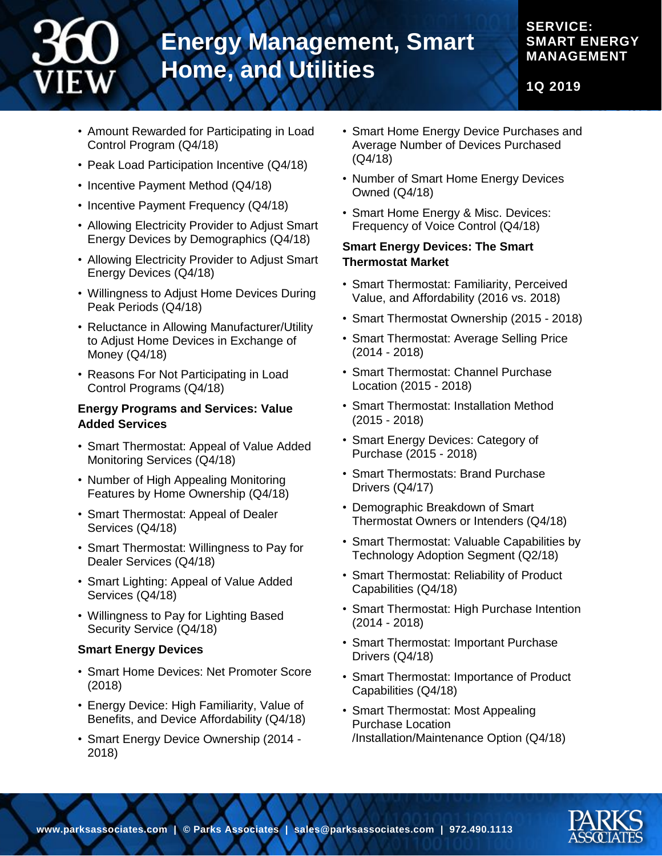## **SERVICE: SMART ENERGY MANAGEMENT**

**1Q 2019**

- Amount Rewarded for Participating in Load Control Program (Q4/18)
- Peak Load Participation Incentive (Q4/18)
- Incentive Payment Method (Q4/18)
- Incentive Payment Frequency (Q4/18)
- Allowing Electricity Provider to Adjust Smart Energy Devices by Demographics (Q4/18)
- Allowing Electricity Provider to Adjust Smart Energy Devices (Q4/18)
- Willingness to Adjust Home Devices During Peak Periods (Q4/18)
- Reluctance in Allowing Manufacturer/Utility to Adjust Home Devices in Exchange of Money (Q4/18)
- Reasons For Not Participating in Load Control Programs (Q4/18)

### **Energy Programs and Services: Value Added Services**

- Smart Thermostat: Appeal of Value Added Monitoring Services (Q4/18)
- Number of High Appealing Monitoring Features by Home Ownership (Q4/18)
- Smart Thermostat: Appeal of Dealer Services (Q4/18)
- Smart Thermostat: Willingness to Pay for Dealer Services (Q4/18)
- Smart Lighting: Appeal of Value Added Services (Q4/18)
- Willingness to Pay for Lighting Based Security Service (Q4/18)

### **Smart Energy Devices**

- Smart Home Devices: Net Promoter Score (2018)
- Energy Device: High Familiarity, Value of Benefits, and Device Affordability (Q4/18)
- Smart Energy Device Ownership (2014 2018)
- Smart Home Energy Device Purchases and Average Number of Devices Purchased (Q4/18)
- Number of Smart Home Energy Devices Owned (Q4/18)
- Smart Home Energy & Misc. Devices: Frequency of Voice Control (Q4/18)

### **Smart Energy Devices: The Smart Thermostat Market**

- Smart Thermostat: Familiarity, Perceived Value, and Affordability (2016 vs. 2018)
- Smart Thermostat Ownership (2015 2018)
- Smart Thermostat: Average Selling Price (2014 - 2018)
- Smart Thermostat: Channel Purchase Location (2015 - 2018)
- Smart Thermostat: Installation Method (2015 - 2018)
- Smart Energy Devices: Category of Purchase (2015 - 2018)
- Smart Thermostats: Brand Purchase Drivers (Q4/17)
- Demographic Breakdown of Smart Thermostat Owners or Intenders (Q4/18)
- Smart Thermostat: Valuable Capabilities by Technology Adoption Segment (Q2/18)
- Smart Thermostat: Reliability of Product Capabilities (Q4/18)
- Smart Thermostat: High Purchase Intention (2014 - 2018)
- Smart Thermostat: Important Purchase Drivers (Q4/18)
- Smart Thermostat: Importance of Product Capabilities (Q4/18)
- Smart Thermostat: Most Appealing Purchase Location /Installation/Maintenance Option (Q4/18)

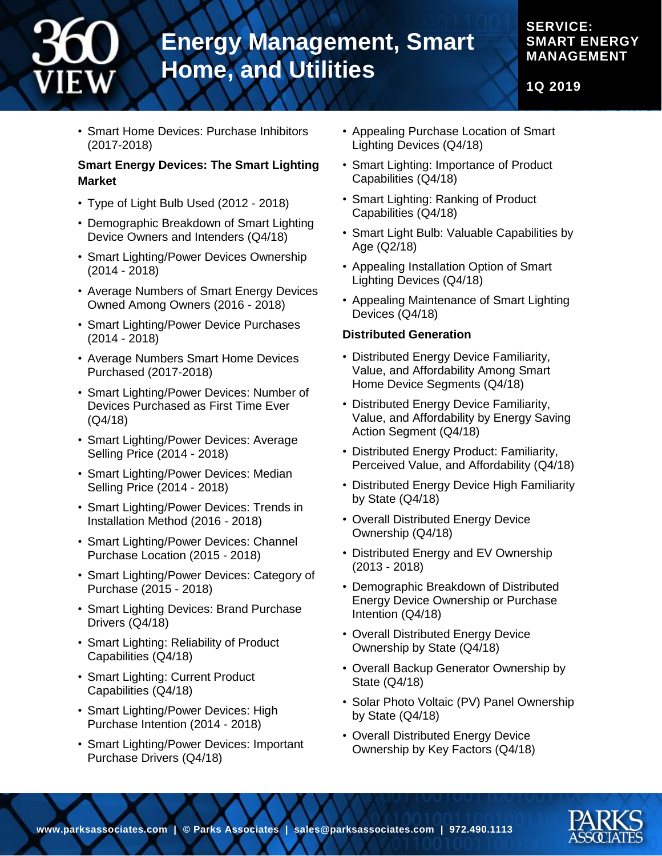### **SERVICE: SMART ENERGY MANAGEMENT**

**1Q 2019**

• Smart Home Devices: Purchase Inhibitors (2017-2018)

### **Smart Energy Devices: The Smart Lighting Market**

- Type of Light Bulb Used (2012 2018)
- Demographic Breakdown of Smart Lighting Device Owners and Intenders (Q4/18)
- Smart Lighting/Power Devices Ownership (2014 - 2018)
- Average Numbers of Smart Energy Devices Owned Among Owners (2016 - 2018)
- Smart Lighting/Power Device Purchases (2014 - 2018)
- Average Numbers Smart Home Devices Purchased (2017-2018)
- Smart Lighting/Power Devices: Number of Devices Purchased as First Time Ever (Q4/18)
- Smart Lighting/Power Devices: Average Selling Price (2014 - 2018)
- Smart Lighting/Power Devices: Median Selling Price (2014 - 2018)
- Smart Lighting/Power Devices: Trends in Installation Method (2016 - 2018)
- Smart Lighting/Power Devices: Channel Purchase Location (2015 - 2018)
- Smart Lighting/Power Devices: Category of Purchase (2015 - 2018)
- Smart Lighting Devices: Brand Purchase Drivers (Q4/18)
- Smart Lighting: Reliability of Product Capabilities (Q4/18)
- Smart Lighting: Current Product Capabilities (Q4/18)
- Smart Lighting/Power Devices: High Purchase Intention (2014 - 2018)
- Smart Lighting/Power Devices: Important Purchase Drivers (Q4/18)
- Appealing Purchase Location of Smart Lighting Devices (Q4/18)
- Smart Lighting: Importance of Product Capabilities (Q4/18)
- Smart Lighting: Ranking of Product Capabilities (Q4/18)
- Smart Light Bulb: Valuable Capabilities by Age (Q2/18)
- Appealing Installation Option of Smart Lighting Devices (Q4/18)
- Appealing Maintenance of Smart Lighting Devices (Q4/18)

### **Distributed Generation**

- Distributed Energy Device Familiarity, Value, and Affordability Among Smart Home Device Segments (Q4/18)
- Distributed Energy Device Familiarity, Value, and Affordability by Energy Saving Action Segment (Q4/18)
- Distributed Energy Product: Familiarity, Perceived Value, and Affordability (Q4/18)
- Distributed Energy Device High Familiarity by State (Q4/18)
- Overall Distributed Energy Device Ownership (Q4/18)
- Distributed Energy and EV Ownership (2013 - 2018)
- Demographic Breakdown of Distributed Energy Device Ownership or Purchase Intention (Q4/18)
- Overall Distributed Energy Device Ownership by State (Q4/18)
- Overall Backup Generator Ownership by State (Q4/18)
- Solar Photo Voltaic (PV) Panel Ownership by State (Q4/18)
- Overall Distributed Energy Device Ownership by Key Factors (Q4/18)

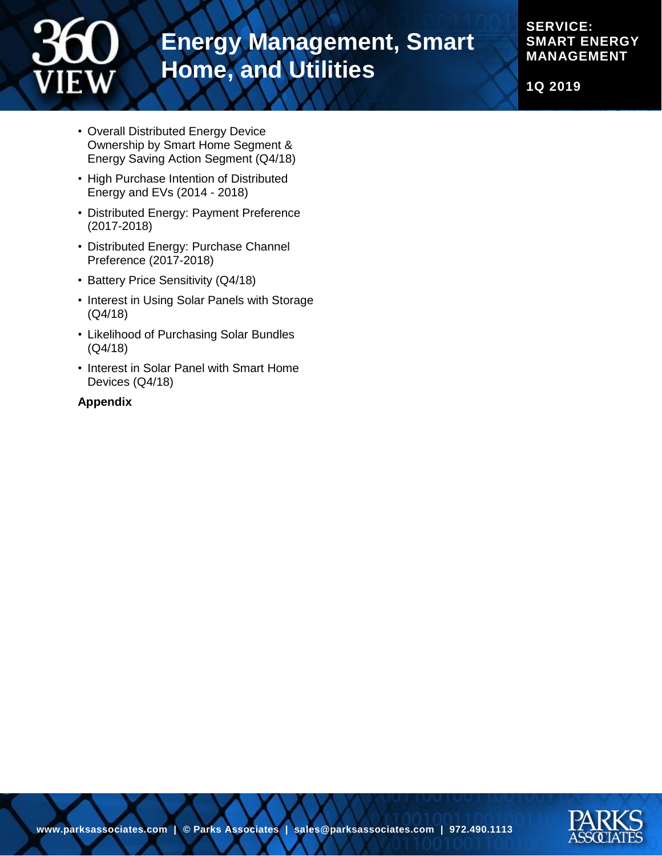

**SERVICE: SMART ENERGY MANAGEMENT**

**1Q 2019**

- Overall Distributed Energy Device Ownership by Smart Home Segment & Energy Saving Action Segment (Q4/18)
- High Purchase Intention of Distributed Energy and EVs (2014 - 2018)
- Distributed Energy: Payment Preference (2017-2018)
- Distributed Energy: Purchase Channel Preference (2017-2018)
- Battery Price Sensitivity (Q4/18)
- Interest in Using Solar Panels with Storage (Q4/18)
- Likelihood of Purchasing Solar Bundles (Q4/18)
- Interest in Solar Panel with Smart Home Devices (Q4/18)

### **Appendix**